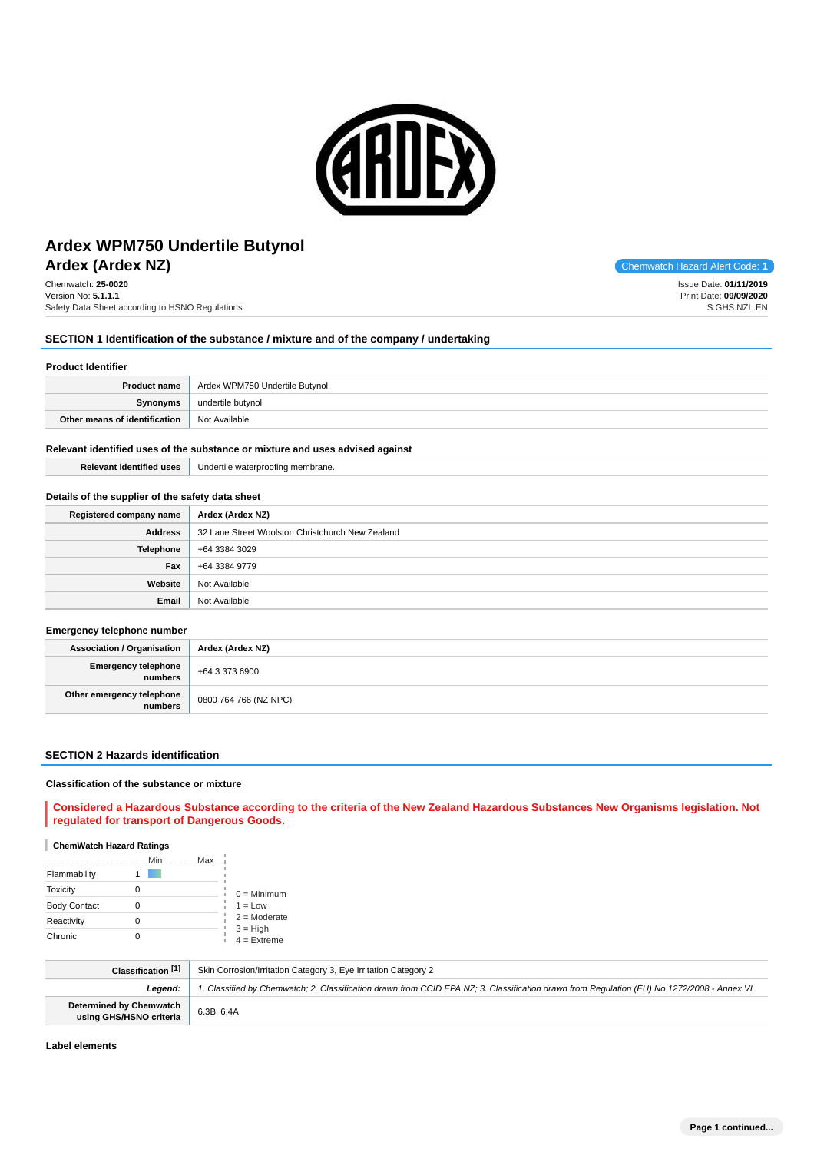

# **Ardex (Ardex NZ)** Chemwatch Hazard Alert Code: **1 Ardex WPM750 Undertile Butynol**

Chemwatch: **25-0020** Version No: **5.1.1.1** Safety Data Sheet according to HSNO Regulations

# **SECTION 1 Identification of the substance / mixture and of the company / undertaking**

# **Product Identifier**

| <b>Product name</b>           | Ardex WPM750 Undertile Butynol |
|-------------------------------|--------------------------------|
| Synonyms                      | undertile butynol              |
| Other means of identification | Not Available                  |

### **Relevant identified uses of the substance or mixture and uses advised against**

| <b>Relevant identified uses</b> | Undertile waterproofing membrane. |
|---------------------------------|-----------------------------------|
|---------------------------------|-----------------------------------|

## **Details of the supplier of the safety data sheet**

| Registered company name | Ardex (Ardex NZ)                                 |
|-------------------------|--------------------------------------------------|
| Address                 | 32 Lane Street Woolston Christchurch New Zealand |
| Telephone               | +64 3384 3029                                    |
| Fax                     | +64 3384 9779                                    |
| Website                 | Not Available                                    |
| Email                   | Not Available                                    |

#### **Emergency telephone number**

| . .                                  |                       |
|--------------------------------------|-----------------------|
| Association / Organisation           | Ardex (Ardex NZ)      |
| Emergency telephone<br>numbers       | $+6433736900$         |
| Other emergency telephone<br>numbers | 0800 764 766 (NZ NPC) |

## **SECTION 2 Hazards identification**

### **Classification of the substance or mixture**

**Considered a Hazardous Substance according to the criteria of the New Zealand Hazardous Substances New Organisms legislation. Not regulated for transport of Dangerous Goods.**

## **ChemWatch Hazard Ratings**

|                     | Min | Max |                             |
|---------------------|-----|-----|-----------------------------|
| Flammability        |     |     |                             |
| <b>Toxicity</b>     |     |     | $0 =$ Minimum               |
| <b>Body Contact</b> |     |     | $1 = Low$                   |
| Reactivity          |     |     | $2 =$ Moderate              |
| Chronic             |     |     | $3 = High$<br>$4 =$ Extreme |

| Classification [1]                                        | Skin Corrosion/Irritation Category 3, Eye Irritation Category 2                                                                            |
|-----------------------------------------------------------|--------------------------------------------------------------------------------------------------------------------------------------------|
| Leaend:                                                   | 1. Classified by Chemwatch; 2. Classification drawn from CCID EPA NZ; 3. Classification drawn from Requlation (EU) No 1272/2008 - Annex VI |
| <b>Determined by Chemwatch</b><br>using GHS/HSNO criteria | 6.3B, 6.4A                                                                                                                                 |

**Label elements**

Issue Date: **01/11/2019** Print Date: **09/09/2020** S.GHS.NZL.EN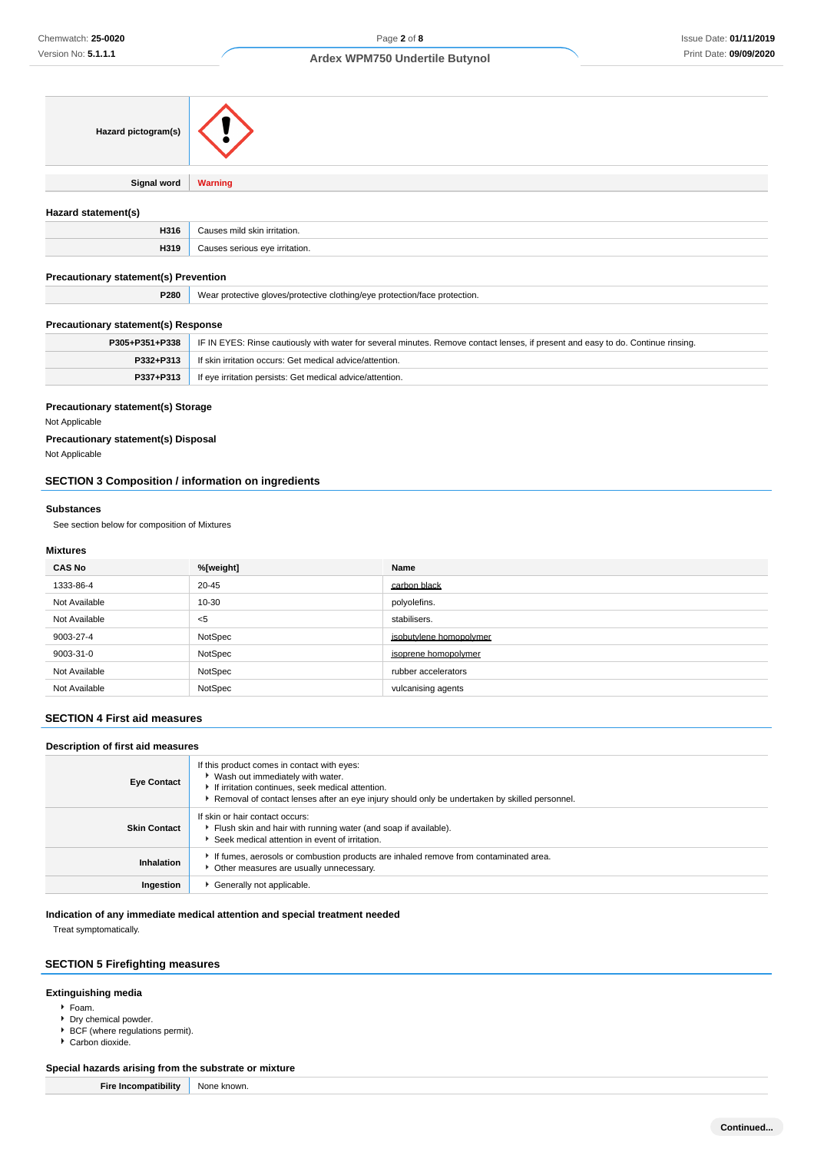| Hazard pictogram(s) |                                |
|---------------------|--------------------------------|
|                     |                                |
| Signal word         | <b>Warning</b>                 |
|                     |                                |
| Hazard statement(s) |                                |
| H316                | Causes mild skin irritation.   |
| H319                | Causes serious eye irritation. |
|                     |                                |

# **Precautionary statement(s) Prevention**

| <b>P280</b> | ar protective aloves/protective clothing/eve protection/face protection.<br>Wear |
|-------------|----------------------------------------------------------------------------------|
|             |                                                                                  |

# **Precautionary statement(s) Response**

| P305+P351+P338 | IF IN EYES: Rinse cautiously with water for several minutes. Remove contact lenses, if present and easy to do. Continue rinsing. |
|----------------|----------------------------------------------------------------------------------------------------------------------------------|
| P332+P313      | If skin irritation occurs: Get medical advice/attention.                                                                         |
| P337+P313      | If eye irritation persists: Get medical advice/attention.                                                                        |

### **Precautionary statement(s) Storage**

Not Applicable

# **Precautionary statement(s) Disposal**

Not Applicable

# **SECTION 3 Composition / information on ingredients**

#### **Substances**

See section below for composition of Mixtures

## **Mixtures**

| <b>CAS No</b> | %[weight] | Name                    |
|---------------|-----------|-------------------------|
| 1333-86-4     | 20-45     | carbon black            |
| Not Available | 10-30     | polyolefins.            |
| Not Available | $<$ 5     | stabilisers.            |
| 9003-27-4     | NotSpec   | isobutylene homopolymer |
| 9003-31-0     | NotSpec   | isoprene homopolymer    |
| Not Available | NotSpec   | rubber accelerators     |
| Not Available | NotSpec   | vulcanising agents      |

## **SECTION 4 First aid measures**

## **Description of first aid measures**

| <b>Eye Contact</b>  | If this product comes in contact with eyes:<br>▶ Wash out immediately with water.<br>If irritation continues, seek medical attention.<br>Removal of contact lenses after an eye injury should only be undertaken by skilled personnel. |
|---------------------|----------------------------------------------------------------------------------------------------------------------------------------------------------------------------------------------------------------------------------------|
| <b>Skin Contact</b> | If skin or hair contact occurs:<br>Flush skin and hair with running water (and soap if available).<br>Seek medical attention in event of irritation.                                                                                   |
| Inhalation          | If fumes, aerosols or combustion products are inhaled remove from contaminated area.<br>Other measures are usually unnecessary.                                                                                                        |
| Ingestion           | Generally not applicable.                                                                                                                                                                                                              |

## **Indication of any immediate medical attention and special treatment needed**

Treat symptomatically.

# **SECTION 5 Firefighting measures**

# **Extinguishing media**

- Foam.
- Dry chemical powder.
- BCF (where regulations permit).
- Carbon dioxide.

# **Special hazards arising from the substrate or mixture**

| <b>Fire Incompatibility</b> | None known. |
|-----------------------------|-------------|
|-----------------------------|-------------|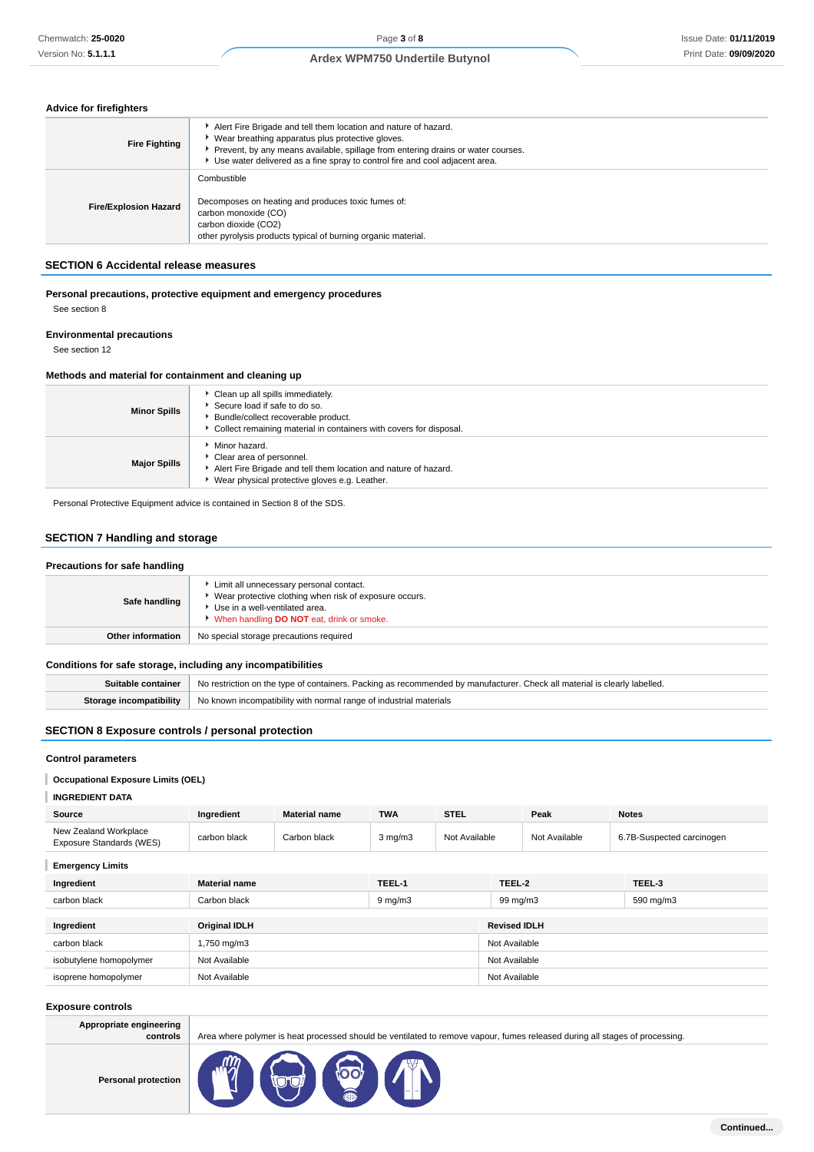# **Advice for firefighters**

| <b>Fire Fighting</b>         | Alert Fire Brigade and tell them location and nature of hazard.<br>▶ Wear breathing apparatus plus protective gloves.<br>Prevent, by any means available, spillage from entering drains or water courses.<br>► Use water delivered as a fine spray to control fire and cool adjacent area. |
|------------------------------|--------------------------------------------------------------------------------------------------------------------------------------------------------------------------------------------------------------------------------------------------------------------------------------------|
| <b>Fire/Explosion Hazard</b> | Combustible<br>Decomposes on heating and produces toxic fumes of:<br>carbon monoxide (CO)<br>carbon dioxide (CO2)<br>other pyrolysis products typical of burning organic material.                                                                                                         |

## **SECTION 6 Accidental release measures**

## **Personal precautions, protective equipment and emergency procedures** See section 8

# **Environmental precautions**

See section 12

## **Methods and material for containment and cleaning up**

| <b>Minor Spills</b> | Clean up all spills immediately.<br>Secure load if safe to do so.<br>Bundle/collect recoverable product.<br>Collect remaining material in containers with covers for disposal. |
|---------------------|--------------------------------------------------------------------------------------------------------------------------------------------------------------------------------|
| <b>Major Spills</b> | • Minor hazard.<br>Clear area of personnel.<br>Alert Fire Brigade and tell them location and nature of hazard.<br>▶ Wear physical protective gloves e.g. Leather.              |

Personal Protective Equipment advice is contained in Section 8 of the SDS.

# **SECTION 7 Handling and storage**

| Precautions for safe handling |                                                                                                                                                                                  |
|-------------------------------|----------------------------------------------------------------------------------------------------------------------------------------------------------------------------------|
| Safe handling                 | Limit all unnecessary personal contact.<br>Wear protective clothing when risk of exposure occurs.<br>Use in a well-ventilated area.<br>When handling DO NOT eat, drink or smoke. |
| <b>Other information</b>      | No special storage precautions required                                                                                                                                          |

# **Conditions for safe storage, including any incompatibilities**

| Suitable container No restriction on the type of containers. Packing as recommended by manufacturer. Check all material is clearly labelled. |
|----------------------------------------------------------------------------------------------------------------------------------------------|
| <b>Storage incompatibility</b> No known incompatibility with normal range of industrial materials                                            |

# **SECTION 8 Exposure controls / personal protection**

## **Control parameters**

## **Occupational Exposure Limits (OEL)**

## **INGREDIENT DATA**

| Source                                            | Ingredient   | <b>Material name</b> | <b>TWA</b>   | <b>STEL</b>   | Peak          | <b>Notes</b>              |
|---------------------------------------------------|--------------|----------------------|--------------|---------------|---------------|---------------------------|
| New Zealand Workplace<br>Exposure Standards (WES) | carbon black | Carbon black         | $3$ mg/m $3$ | Not Available | Not Available | 6.7B-Suspected carcinogen |

**Emergency Limits**

| Ingredient              | <b>Material name</b> | TEEL-1       | TEEL-2              | TEEL-3    |  |
|-------------------------|----------------------|--------------|---------------------|-----------|--|
| carbon black            | Carbon black         | $9 \, mg/m3$ | 99 mg/m3            | 590 mg/m3 |  |
|                         |                      |              |                     |           |  |
| Ingredient              | <b>Original IDLH</b> |              | <b>Revised IDLH</b> |           |  |
| carbon black            | 1,750 mg/m3          |              | Not Available       |           |  |
| isobutylene homopolymer | Not Available        |              | Not Available       |           |  |
| isoprene homopolymer    | Not Available        |              | Not Available       |           |  |
|                         |                      |              |                     |           |  |

### **Exposure controls**

| Appropriate engineering<br>controls | Area where polymer is heat processed should be ventilated to remove vapour, fumes released during all stages of processing. |
|-------------------------------------|-----------------------------------------------------------------------------------------------------------------------------|
| <b>Personal protection</b>          | <b>Contract</b><br>4                                                                                                        |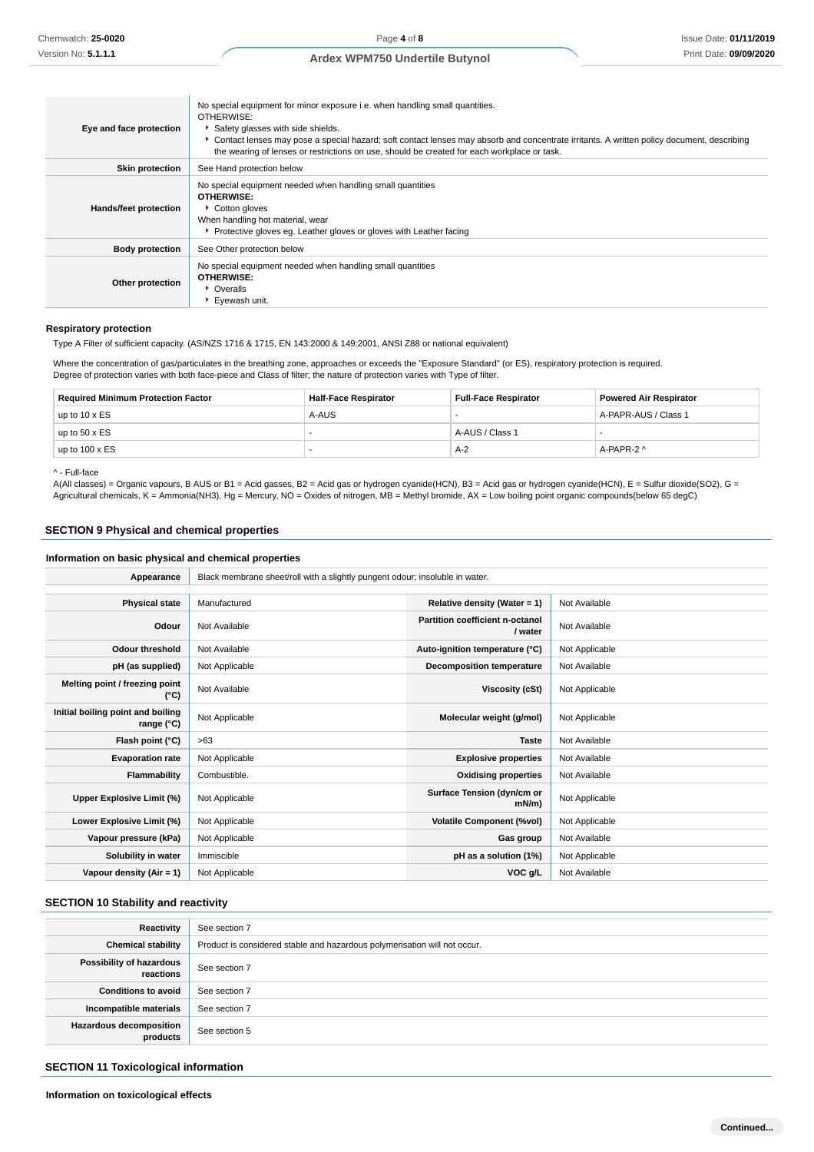| Eye and face protection | No special equipment for minor exposure i.e. when handling small quantities.<br>OTHERWISE:<br>Safety glasses with side shields.<br>Contact lenses may pose a special hazard; soft contact lenses may absorb and concentrate irritants. A written policy document, describing<br>the wearing of lenses or restrictions on use, should be created for each workplace or task. |
|-------------------------|-----------------------------------------------------------------------------------------------------------------------------------------------------------------------------------------------------------------------------------------------------------------------------------------------------------------------------------------------------------------------------|
| <b>Skin protection</b>  | See Hand protection below                                                                                                                                                                                                                                                                                                                                                   |
| Hands/feet protection   | No special equipment needed when handling small quantities<br><b>OTHERWISE:</b><br>Cotton gloves<br>When handling hot material, wear<br>▶ Protective gloves eg. Leather gloves or gloves with Leather facing                                                                                                                                                                |
| <b>Body protection</b>  | See Other protection below                                                                                                                                                                                                                                                                                                                                                  |
| Other protection        | No special equipment needed when handling small quantities<br><b>OTHERWISE:</b><br>• Overalls<br>Eyewash unit.                                                                                                                                                                                                                                                              |

### **Respiratory protection**

Type A Filter of sufficient capacity. (AS/NZS 1716 & 1715, EN 143:2000 & 149:2001, ANSI Z88 or national equivalent)

Where the concentration of gas/particulates in the breathing zone, approaches or exceeds the "Exposure Standard" (or ES), respiratory protection is required. Degree of protection varies with both face-piece and Class of filter; the nature of protection varies with Type of filter.

| <b>Required Minimum Protection Factor</b> | <b>Half-Face Respirator</b> | <b>Full-Face Respirator</b> | <b>Powered Air Respirator</b> |
|-------------------------------------------|-----------------------------|-----------------------------|-------------------------------|
| up to $10 \times ES$                      | A-AUS                       |                             | A-PAPR-AUS / Class 1          |
| up to $50 \times ES$                      |                             | A-AUS / Class 1             |                               |
| up to $100 \times ES$                     |                             | A-2                         | A-PAPR-2 ^                    |

^ - Full-face

A(All classes) = Organic vapours, B AUS or B1 = Acid gasses, B2 = Acid gas or hydrogen cyanide(HCN), B3 = Acid gas or hydrogen cyanide(HCN), E = Sulfur dioxide(SO2), G = Agricultural chemicals, K = Ammonia(NH3), Hg = Mercury, NO = Oxides of nitrogen, MB = Methyl bromide, AX = Low boiling point organic compounds(below 65 degC)

# **SECTION 9 Physical and chemical properties**

# **Information on basic physical and chemical properties**

| Appearance                                      | Black membrane sheet/roll with a slightly pungent odour; insoluble in water. |                                            |                |  |
|-------------------------------------------------|------------------------------------------------------------------------------|--------------------------------------------|----------------|--|
|                                                 |                                                                              |                                            |                |  |
| <b>Physical state</b>                           | Manufactured                                                                 | Relative density (Water = 1)               | Not Available  |  |
| Odour                                           | Not Available                                                                | Partition coefficient n-octanol<br>/ water | Not Available  |  |
| <b>Odour threshold</b>                          | Not Available                                                                | Auto-ignition temperature (°C)             | Not Applicable |  |
| pH (as supplied)                                | Not Applicable                                                               | Decomposition temperature                  | Not Available  |  |
| Melting point / freezing point<br>(°C)          | Not Available                                                                | Viscosity (cSt)                            | Not Applicable |  |
| Initial boiling point and boiling<br>range (°C) | Not Applicable                                                               | Molecular weight (g/mol)                   | Not Applicable |  |
| Flash point (°C)                                | >63                                                                          | <b>Taste</b>                               | Not Available  |  |
| <b>Evaporation rate</b>                         | Not Applicable                                                               | <b>Explosive properties</b>                | Not Available  |  |
| Flammability                                    | Combustible.                                                                 | <b>Oxidising properties</b>                | Not Available  |  |
| Upper Explosive Limit (%)                       | Not Applicable                                                               | Surface Tension (dyn/cm or<br>$mN/m$ )     | Not Applicable |  |
| Lower Explosive Limit (%)                       | Not Applicable                                                               | <b>Volatile Component (%vol)</b>           | Not Applicable |  |
| Vapour pressure (kPa)                           | Not Applicable                                                               | Gas group                                  | Not Available  |  |
| Solubility in water                             | Immiscible                                                                   | pH as a solution (1%)                      | Not Applicable |  |
| Vapour density $(Air = 1)$                      | Not Applicable                                                               | VOC g/L                                    | Not Available  |  |

# **SECTION 10 Stability and reactivity**

| Reactivity                            | See section 7                                                             |
|---------------------------------------|---------------------------------------------------------------------------|
| <b>Chemical stability</b>             | Product is considered stable and hazardous polymerisation will not occur. |
| Possibility of hazardous<br>reactions | See section 7                                                             |
| <b>Conditions to avoid</b>            | See section 7                                                             |
| Incompatible materials                | See section 7                                                             |
| Hazardous decomposition<br>products   | See section 5                                                             |

### **SECTION 11 Toxicological information**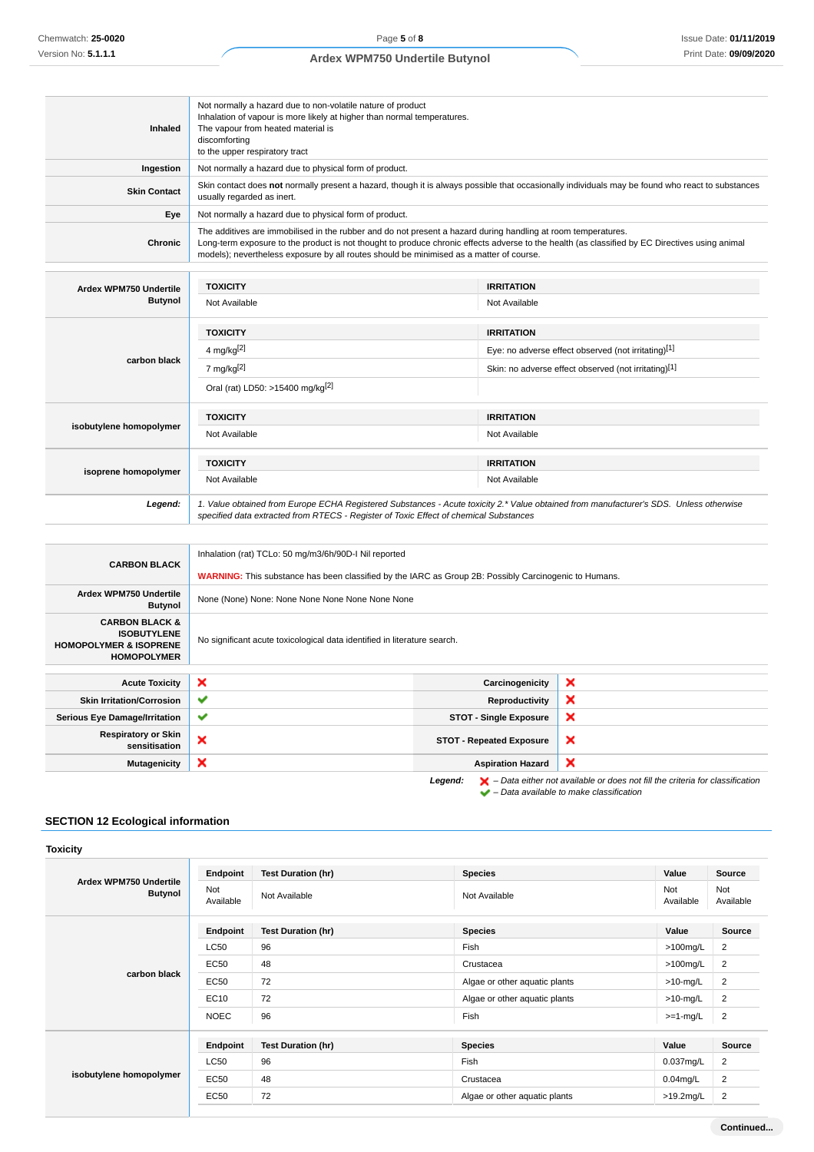| Inhaled                                                                                                    | Not normally a hazard due to non-volatile nature of product<br>Inhalation of vapour is more likely at higher than normal temperatures.<br>The vapour from heated material is<br>discomforting<br>to the upper respiratory tract                                                                                                                            |  |                                                      |   |  |
|------------------------------------------------------------------------------------------------------------|------------------------------------------------------------------------------------------------------------------------------------------------------------------------------------------------------------------------------------------------------------------------------------------------------------------------------------------------------------|--|------------------------------------------------------|---|--|
| Ingestion                                                                                                  | Not normally a hazard due to physical form of product.                                                                                                                                                                                                                                                                                                     |  |                                                      |   |  |
| <b>Skin Contact</b>                                                                                        | Skin contact does not normally present a hazard, though it is always possible that occasionally individuals may be found who react to substances<br>usually regarded as inert.                                                                                                                                                                             |  |                                                      |   |  |
| Eye                                                                                                        | Not normally a hazard due to physical form of product.                                                                                                                                                                                                                                                                                                     |  |                                                      |   |  |
| <b>Chronic</b>                                                                                             | The additives are immobilised in the rubber and do not present a hazard during handling at room temperatures.<br>Long-term exposure to the product is not thought to produce chronic effects adverse to the health (as classified by EC Directives using animal<br>models); nevertheless exposure by all routes should be minimised as a matter of course. |  |                                                      |   |  |
| Ardex WPM750 Undertile                                                                                     | <b>TOXICITY</b>                                                                                                                                                                                                                                                                                                                                            |  | <b>IRRITATION</b>                                    |   |  |
| <b>Butynol</b>                                                                                             | Not Available                                                                                                                                                                                                                                                                                                                                              |  | Not Available                                        |   |  |
|                                                                                                            | <b>TOXICITY</b>                                                                                                                                                                                                                                                                                                                                            |  | <b>IRRITATION</b>                                    |   |  |
|                                                                                                            | 4 mg/kg $[2]$                                                                                                                                                                                                                                                                                                                                              |  | Eye: no adverse effect observed (not irritating)[1]  |   |  |
| carbon black                                                                                               | 7 mg/kg $[2]$                                                                                                                                                                                                                                                                                                                                              |  | Skin: no adverse effect observed (not irritating)[1] |   |  |
|                                                                                                            | Oral (rat) LD50: >15400 mg/kg <sup>[2]</sup>                                                                                                                                                                                                                                                                                                               |  |                                                      |   |  |
|                                                                                                            | <b>TOXICITY</b><br><b>IRRITATION</b>                                                                                                                                                                                                                                                                                                                       |  |                                                      |   |  |
| isobutylene homopolymer                                                                                    | Not Available<br>Not Available                                                                                                                                                                                                                                                                                                                             |  |                                                      |   |  |
|                                                                                                            | <b>TOXICITY</b>                                                                                                                                                                                                                                                                                                                                            |  | <b>IRRITATION</b>                                    |   |  |
| isoprene homopolymer                                                                                       | Not Available<br>Not Available                                                                                                                                                                                                                                                                                                                             |  |                                                      |   |  |
| Legend:                                                                                                    | 1. Value obtained from Europe ECHA Registered Substances - Acute toxicity 2.* Value obtained from manufacturer's SDS. Unless otherwise<br>specified data extracted from RTECS - Register of Toxic Effect of chemical Substances                                                                                                                            |  |                                                      |   |  |
|                                                                                                            |                                                                                                                                                                                                                                                                                                                                                            |  |                                                      |   |  |
| <b>CARBON BLACK</b>                                                                                        | Inhalation (rat) TCLo: 50 mg/m3/6h/90D-I Nil reported                                                                                                                                                                                                                                                                                                      |  |                                                      |   |  |
|                                                                                                            | <b>WARNING:</b> This substance has been classified by the IARC as Group 2B: Possibly Carcinogenic to Humans.                                                                                                                                                                                                                                               |  |                                                      |   |  |
| Ardex WPM750 Undertile<br><b>Butynol</b>                                                                   | None (None) None: None None None None None None                                                                                                                                                                                                                                                                                                            |  |                                                      |   |  |
| <b>CARBON BLACK &amp;</b><br><b>ISOBUTYLENE</b><br><b>HOMOPOLYMER &amp; ISOPRENE</b><br><b>HOMOPOLYMER</b> | No significant acute toxicological data identified in literature search.                                                                                                                                                                                                                                                                                   |  |                                                      |   |  |
| <b>Acute Toxicity</b>                                                                                      | ×                                                                                                                                                                                                                                                                                                                                                          |  | Carcinogenicity                                      | × |  |
|                                                                                                            |                                                                                                                                                                                                                                                                                                                                                            |  |                                                      |   |  |

| <b>Acute Toxicity</b>                       | ×            | Carcinogenicity                 | ×                                                                                                                                             |
|---------------------------------------------|--------------|---------------------------------|-----------------------------------------------------------------------------------------------------------------------------------------------|
| <b>Skin Irritation/Corrosion</b>            | $\checkmark$ | Reproductivity                  | ×                                                                                                                                             |
| <b>Serious Eye Damage/Irritation</b>        | $\checkmark$ | <b>STOT - Single Exposure</b>   | ×                                                                                                                                             |
| <b>Respiratory or Skin</b><br>sensitisation | ∼            | <b>STOT - Repeated Exposure</b> | ×                                                                                                                                             |
| <b>Mutagenicity</b>                         | ×            | ×<br><b>Aspiration Hazard</b>   |                                                                                                                                               |
|                                             |              | Legend:                         | $\blacktriangleright$ - Data either not available or does not fill the criteria for classification<br>- Data available to make classification |

# **SECTION 12 Ecological information**

|                                          | Endpoint         | <b>Test Duration (hr)</b> | <b>Species</b>                | Value            | Source           |
|------------------------------------------|------------------|---------------------------|-------------------------------|------------------|------------------|
| Ardex WPM750 Undertile<br><b>Butynol</b> | Not<br>Available | Not Available             | Not Available                 | Not<br>Available | Not<br>Available |
|                                          | Endpoint         | <b>Test Duration (hr)</b> | <b>Species</b>                | Value            | Source           |
|                                          | <b>LC50</b>      | 96                        | Fish                          | $>100$ mg/L      | 2                |
|                                          | EC50             | 48                        | Crustacea                     | $>100$ mg/L      | $\overline{2}$   |
| carbon black                             | <b>EC50</b>      | 72                        | Algae or other aquatic plants | $>10$ -mg/L      | 2                |
|                                          | EC10             | 72                        | Algae or other aquatic plants | $>10$ -mg/L      | 2                |
|                                          | <b>NOEC</b>      | 96                        | Fish                          | $>=1-mg/L$       | $\overline{2}$   |
|                                          | Endpoint         | <b>Test Duration (hr)</b> | <b>Species</b>                | Value            | <b>Source</b>    |
| isobutylene homopolymer                  | <b>LC50</b>      | 96                        | Fish                          | $0.037$ mg/L     | 2                |
|                                          | <b>EC50</b>      | 48                        | Crustacea                     | $0.04$ mg/L      | 2                |
|                                          | <b>EC50</b>      | 72                        | Algae or other aquatic plants | $>19.2$ mg/L     | $\overline{2}$   |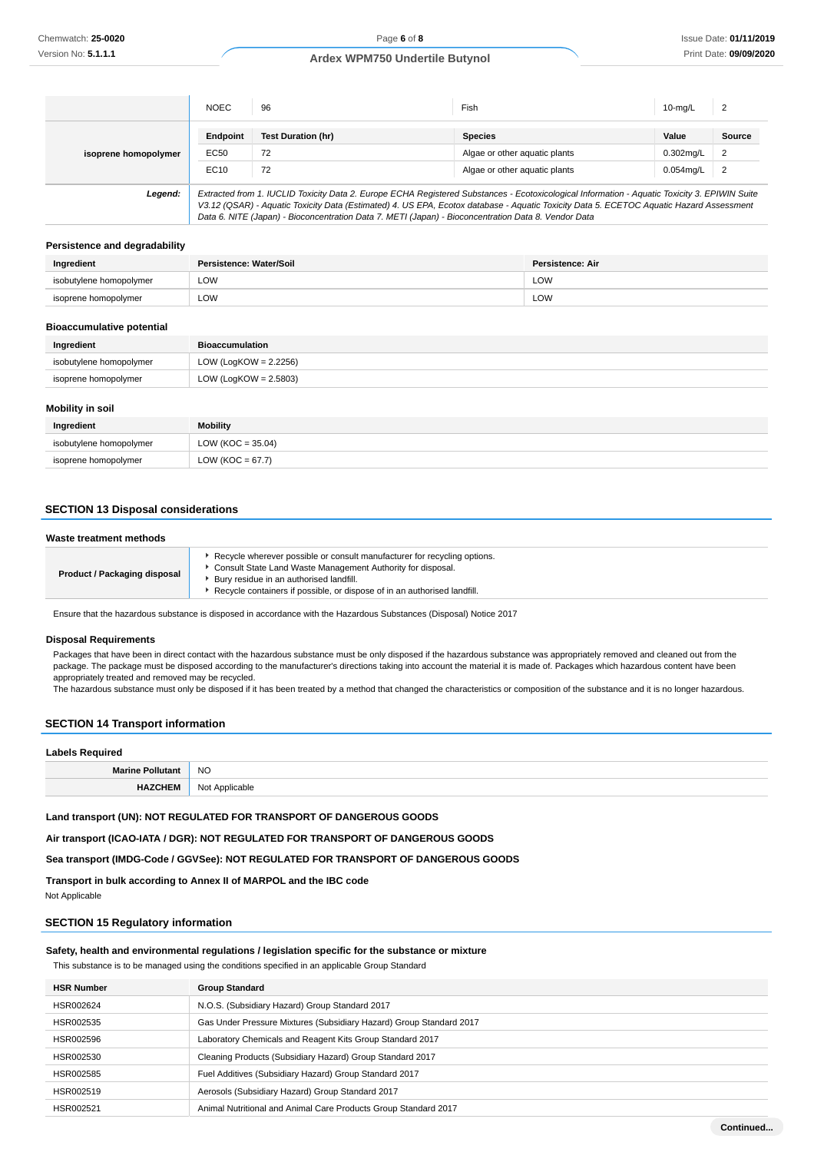|                      | <b>NOEC</b>                                                                                                                                                                                                                                                                                                                                                                                     | 96                        | Fish                          | $10$ -mg/L   | 2             |
|----------------------|-------------------------------------------------------------------------------------------------------------------------------------------------------------------------------------------------------------------------------------------------------------------------------------------------------------------------------------------------------------------------------------------------|---------------------------|-------------------------------|--------------|---------------|
|                      | Endpoint                                                                                                                                                                                                                                                                                                                                                                                        | <b>Test Duration (hr)</b> | <b>Species</b>                | Value        | <b>Source</b> |
| isoprene homopolymer | EC50                                                                                                                                                                                                                                                                                                                                                                                            | 72                        | Algae or other aguatic plants | $0.302$ mg/L | 2             |
|                      | EC10                                                                                                                                                                                                                                                                                                                                                                                            | 72                        | Algae or other aquatic plants | $0.054$ mg/L | 2             |
| Legend:              | Extracted from 1. IUCLID Toxicity Data 2. Europe ECHA Registered Substances - Ecotoxicological Information - Aquatic Toxicity 3. EPIWIN Suite<br>V3.12 (QSAR) - Aquatic Toxicity Data (Estimated) 4. US EPA, Ecotox database - Aquatic Toxicity Data 5. ECETOC Aquatic Hazard Assessment<br>Data 6. NITE (Japan) - Bioconcentration Data 7. METI (Japan) - Bioconcentration Data 8. Vendor Data |                           |                               |              |               |

## **Persistence and degradability**

| Ingredient              | Persistence: Water/Soil | Persistence: Air |
|-------------------------|-------------------------|------------------|
| isobutylene homopolymer | LOW                     | LOW              |
| isoprene homopolymer    | LOW                     | LOW              |

### **Bioaccumulative potential**

| Ingredient              | <b>Bioaccumulation</b>   |
|-------------------------|--------------------------|
| isobutylene homopolymer | LOW (LogKOW = $2.2256$ ) |
| isoprene homopolymer    | LOW (LogKOW = $2.5803$ ) |

### **Mobility in soil**

| Ingredient              | <b>Mobility</b>       |
|-------------------------|-----------------------|
| isobutylene homopolymer | LOW ( $KOC = 35.04$ ) |
| isoprene homopolymer    | LOW ( $KOC = 67.7$ )  |

### **SECTION 13 Disposal considerations**

### **Waste treatment methods**

| <b>Product / Packaging disposal</b> | ► Recycle wherever possible or consult manufacturer for recycling options.<br>Consult State Land Waste Management Authority for disposal.<br>Bury residue in an authorised landfill.<br>Recycle containers if possible, or dispose of in an authorised landfill. |
|-------------------------------------|------------------------------------------------------------------------------------------------------------------------------------------------------------------------------------------------------------------------------------------------------------------|
|-------------------------------------|------------------------------------------------------------------------------------------------------------------------------------------------------------------------------------------------------------------------------------------------------------------|

Ensure that the hazardous substance is disposed in accordance with the Hazardous Substances (Disposal) Notice 2017

#### **Disposal Requirements**

Packages that have been in direct contact with the hazardous substance must be only disposed if the hazardous substance was appropriately removed and cleaned out from the package. The package must be disposed according to the manufacturer's directions taking into account the material it is made of. Packages which hazardous content have been appropriately treated and removed may be recycled.

The hazardous substance must only be disposed if it has been treated by a method that changed the characteristics or composition of the substance and it is no longer hazardous.

## **SECTION 14 Transport information**

| <b>Labels Required</b>  |                |  |
|-------------------------|----------------|--|
| <b>Marine Pollutant</b> | <b>NO</b>      |  |
| <b>HAZCHEM</b>          | Not Applicable |  |

### **Land transport (UN): NOT REGULATED FOR TRANSPORT OF DANGEROUS GOODS**

**Air transport (ICAO-IATA / DGR): NOT REGULATED FOR TRANSPORT OF DANGEROUS GOODS**

**Sea transport (IMDG-Code / GGVSee): NOT REGULATED FOR TRANSPORT OF DANGEROUS GOODS**

**Transport in bulk according to Annex II of MARPOL and the IBC code** Not Applicable

### **SECTION 15 Regulatory information**

## **Safety, health and environmental regulations / legislation specific for the substance or mixture**

This substance is to be managed using the conditions specified in an applicable Group Standard

| <b>HSR Number</b> | <b>Group Standard</b>                                               |
|-------------------|---------------------------------------------------------------------|
| HSR002624         | N.O.S. (Subsidiary Hazard) Group Standard 2017                      |
| HSR002535         | Gas Under Pressure Mixtures (Subsidiary Hazard) Group Standard 2017 |
| HSR002596         | Laboratory Chemicals and Reagent Kits Group Standard 2017           |
| HSR002530         | Cleaning Products (Subsidiary Hazard) Group Standard 2017           |
| HSR002585         | Fuel Additives (Subsidiary Hazard) Group Standard 2017              |
| HSR002519         | Aerosols (Subsidiary Hazard) Group Standard 2017                    |
| HSR002521         | Animal Nutritional and Animal Care Products Group Standard 2017     |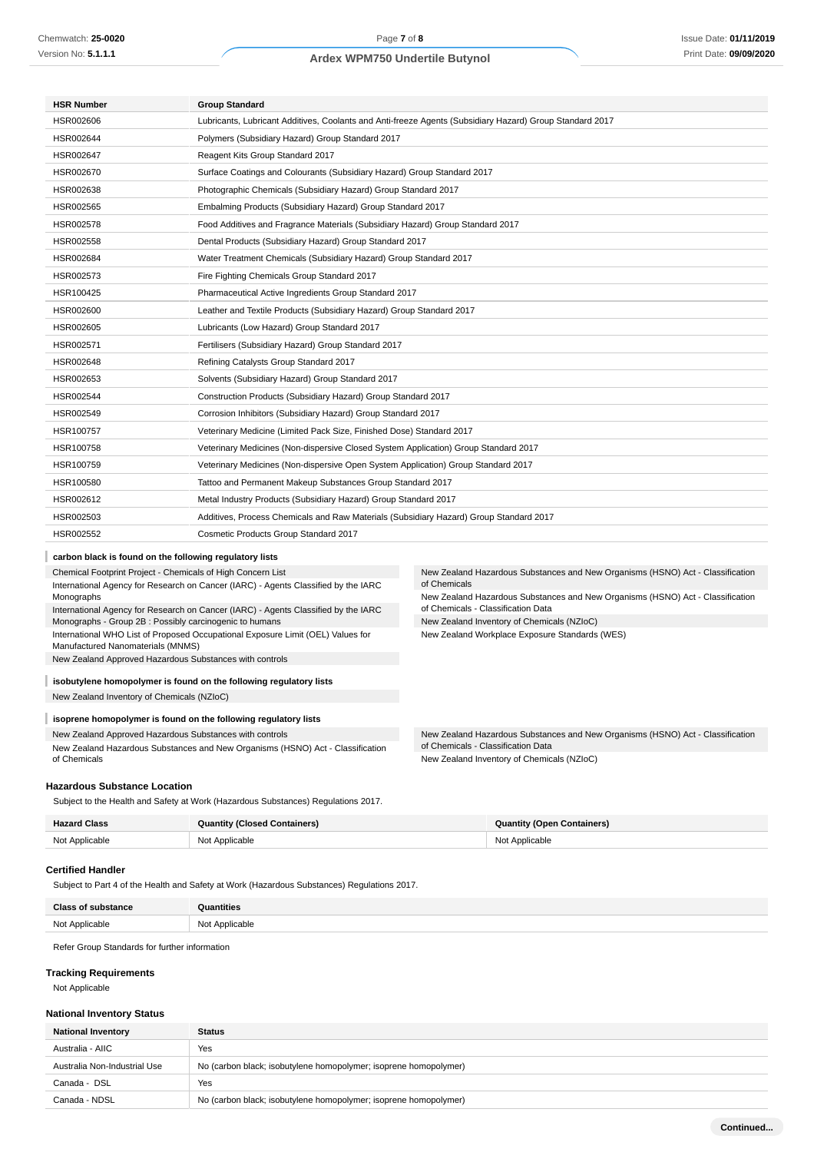| <b>HSR Number</b>                                           | <b>Group Standard</b>                                                                                    |                                                                                  |  |  |
|-------------------------------------------------------------|----------------------------------------------------------------------------------------------------------|----------------------------------------------------------------------------------|--|--|
| HSR002606                                                   | Lubricants, Lubricant Additives, Coolants and Anti-freeze Agents (Subsidiary Hazard) Group Standard 2017 |                                                                                  |  |  |
| HSR002644                                                   | Polymers (Subsidiary Hazard) Group Standard 2017                                                         |                                                                                  |  |  |
| HSR002647                                                   | Reagent Kits Group Standard 2017                                                                         |                                                                                  |  |  |
| HSR002670                                                   | Surface Coatings and Colourants (Subsidiary Hazard) Group Standard 2017                                  |                                                                                  |  |  |
| HSR002638                                                   | Photographic Chemicals (Subsidiary Hazard) Group Standard 2017                                           |                                                                                  |  |  |
| HSR002565                                                   | Embalming Products (Subsidiary Hazard) Group Standard 2017                                               |                                                                                  |  |  |
| HSR002578                                                   | Food Additives and Fragrance Materials (Subsidiary Hazard) Group Standard 2017                           |                                                                                  |  |  |
| HSR002558                                                   | Dental Products (Subsidiary Hazard) Group Standard 2017                                                  |                                                                                  |  |  |
| HSR002684                                                   | Water Treatment Chemicals (Subsidiary Hazard) Group Standard 2017                                        |                                                                                  |  |  |
| HSR002573                                                   | Fire Fighting Chemicals Group Standard 2017                                                              |                                                                                  |  |  |
| HSR100425                                                   | Pharmaceutical Active Ingredients Group Standard 2017                                                    |                                                                                  |  |  |
| HSR002600                                                   |                                                                                                          | Leather and Textile Products (Subsidiary Hazard) Group Standard 2017             |  |  |
| HSR002605                                                   | Lubricants (Low Hazard) Group Standard 2017                                                              |                                                                                  |  |  |
| HSR002571                                                   | Fertilisers (Subsidiary Hazard) Group Standard 2017                                                      |                                                                                  |  |  |
| HSR002648                                                   | Refining Catalysts Group Standard 2017                                                                   |                                                                                  |  |  |
| HSR002653                                                   | Solvents (Subsidiary Hazard) Group Standard 2017                                                         |                                                                                  |  |  |
| HSR002544                                                   | Construction Products (Subsidiary Hazard) Group Standard 2017                                            |                                                                                  |  |  |
| HSR002549                                                   | Corrosion Inhibitors (Subsidiary Hazard) Group Standard 2017                                             |                                                                                  |  |  |
| HSR100757                                                   | Veterinary Medicine (Limited Pack Size, Finished Dose) Standard 2017                                     |                                                                                  |  |  |
| HSR100758                                                   | Veterinary Medicines (Non-dispersive Closed System Application) Group Standard 2017                      |                                                                                  |  |  |
| HSR100759                                                   | Veterinary Medicines (Non-dispersive Open System Application) Group Standard 2017                        |                                                                                  |  |  |
| HSR100580                                                   | Tattoo and Permanent Makeup Substances Group Standard 2017                                               |                                                                                  |  |  |
| HSR002612                                                   | Metal Industry Products (Subsidiary Hazard) Group Standard 2017                                          |                                                                                  |  |  |
| HSR002503                                                   | Additives, Process Chemicals and Raw Materials (Subsidiary Hazard) Group Standard 2017                   |                                                                                  |  |  |
| HSR002552                                                   | Cosmetic Products Group Standard 2017                                                                    |                                                                                  |  |  |
| carbon black is found on the following regulatory lists     |                                                                                                          |                                                                                  |  |  |
| Chemical Footprint Project - Chemicals of High Concern List |                                                                                                          | New Zealand Hazardous Substances and New Organisms (HSNO) Act - Classification   |  |  |
|                                                             | International Agency for Research on Cancer (IARC) - Agents Classified by the IARC                       | of Chemicals                                                                     |  |  |
| Monographs                                                  |                                                                                                          | New Zealand Hazardous Substances and New Organisms (HSNO) Act - Classification   |  |  |
| Monographs - Group 2B : Possibly carcinogenic to humans     | International Agency for Research on Cancer (IARC) - Agents Classified by the IARC                       | of Chemicals - Classification Data<br>New Zealand Inventory of Chemicals (NZIoC) |  |  |
|                                                             | International WHO List of Proposed Occupational Exposure Limit (OEL) Values for                          | New Zealand Workplace Exposure Standards (WES)                                   |  |  |

International WHO List of Proposed Occupational Exposure Limit (OEL) Values for Manufactured Nanomaterials (MNMS)

New Zealand Approved Hazardous Substances with controls

# **isobutylene homopolymer is found on the following regulatory lists**

New Zealand Inventory of Chemicals (NZIoC)

# **isoprene homopolymer is found on the following regulatory lists**

New Zealand Approved Hazardous Substances with controls New Zealand Hazardous Substances and New Organisms (HSNO) Act - Classification of Chemicals

New Zealand Hazardous Substances and New Organisms (HSNO) Act - Classification of Chemicals - Classification Data New Zealand Inventory of Chemicals (NZIoC)

### **Hazardous Substance Location**

Subject to the Health and Safety at Work (Hazardous Substances) Regulations 2017.

| <b>Hazard Class</b> | <b>Quantity (Closed Containers)</b> | <b>Quantity (Open Containers)</b> |
|---------------------|-------------------------------------|-----------------------------------|
| Not Applicable      | Not Applicable                      | Not Applicable                    |

#### **Certified Handler**

Subject to Part 4 of the Health and Safety at Work (Hazardous Substances) Regulations 2017.

| <b>Class of substance</b> | Quantities     |
|---------------------------|----------------|
| Not Applicable            | Not Applicable |

Refer Group Standards for further information

## **Tracking Requirements**

Not Applicable

### **National Inventory Status**

| <b>National Inventory</b>    | <b>Status</b>                                                    |  |  |
|------------------------------|------------------------------------------------------------------|--|--|
| Australia - AIIC             | Yes                                                              |  |  |
| Australia Non-Industrial Use | No (carbon black; isobutylene homopolymer; isoprene homopolymer) |  |  |
| Canada - DSL                 | Yes                                                              |  |  |
| Canada - NDSL                | No (carbon black; isobutylene homopolymer; isoprene homopolymer) |  |  |